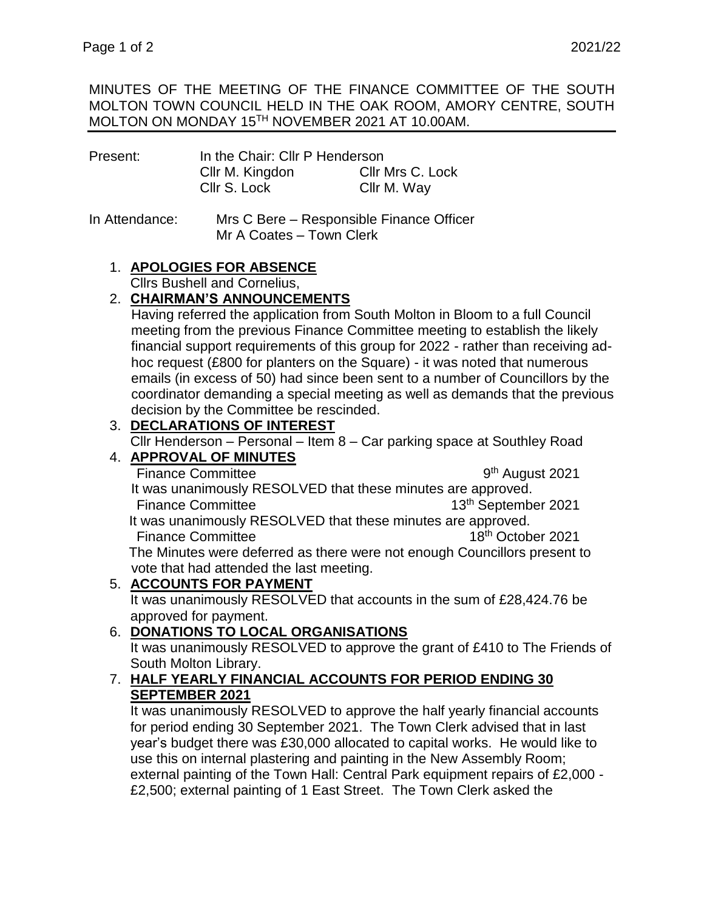MINUTES OF THE MEETING OF THE FINANCE COMMITTEE OF THE SOUTH MOLTON TOWN COUNCIL HELD IN THE OAK ROOM, AMORY CENTRE, SOUTH MOLTON ON MONDAY 15TH NOVEMBER 2021 AT 10.00AM.

| Present: | In the Chair: Cllr P Henderson |                  |  |
|----------|--------------------------------|------------------|--|
|          | Cllr M. Kingdon                | Cllr Mrs C. Lock |  |
|          | Cllr S. Lock                   | Cllr M. Way      |  |

### In Attendance: Mrs C Bere – Responsible Finance Officer Mr A Coates – Town Clerk

## 1. **APOLOGIES FOR ABSENCE**

Cllrs Bushell and Cornelius,

## 2. **CHAIRMAN'S ANNOUNCEMENTS**

 Having referred the application from South Molton in Bloom to a full Council meeting from the previous Finance Committee meeting to establish the likely financial support requirements of this group for 2022 - rather than receiving ad hoc request (£800 for planters on the Square) - it was noted that numerous emails (in excess of 50) had since been sent to a number of Councillors by the coordinator demanding a special meeting as well as demands that the previous decision by the Committee be rescinded.

# 3. **DECLARATIONS OF INTEREST**

Cllr Henderson – Personal – Item 8 – Car parking space at Southley Road

#### 4. **APPROVAL OF MINUTES** Finance Committee

9<sup>th</sup> August 2021

 It was unanimously RESOLVED that these minutes are approved. Finance Committee 13th September 2021 It was unanimously RESOLVED that these minutes are approved. Finance Committee 18th Committee 18th October 2021 The Minutes were deferred as there were not enough Councillors present to

vote that had attended the last meeting.

## 5. **ACCOUNTS FOR PAYMENT**

It was unanimously RESOLVED that accounts in the sum of £28,424.76 be approved for payment.

## 6. **DONATIONS TO LOCAL ORGANISATIONS**

It was unanimously RESOLVED to approve the grant of £410 to The Friends of South Molton Library.

### 7. **HALF YEARLY FINANCIAL ACCOUNTS FOR PERIOD ENDING 30 SEPTEMBER 2021**

It was unanimously RESOLVED to approve the half yearly financial accounts for period ending 30 September 2021. The Town Clerk advised that in last year's budget there was £30,000 allocated to capital works. He would like to use this on internal plastering and painting in the New Assembly Room; external painting of the Town Hall: Central Park equipment repairs of £2,000 - £2,500; external painting of 1 East Street. The Town Clerk asked the